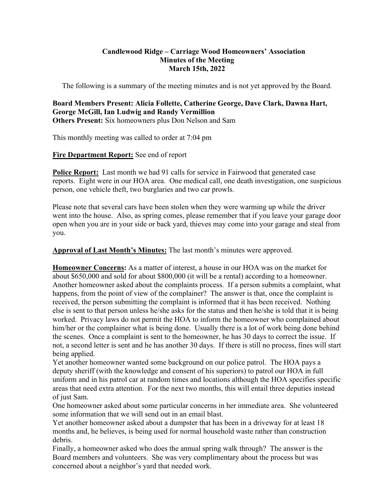### **Candlewood Ridge – Carriage Wood Homeowners' Association Minutes of the Meeting March 15th, 2022**

The following is a summary of the meeting minutes and is not yet approved by the Board.

#### **Board Members Present: Alicia Follette, Catherine George, Dave Clark, Dawna Hart, George McGill, Ian Ludwig and Randy Vermillion Others Present:** Six homeowners plus Don Nelson and Sam

This monthly meeting was called to order at 7:04 pm

## **Fire Department Report:** See end of report

**Police Report:** Last month we had 91 calls for service in Fairwood that generated case reports. Eight were in our HOA area. One medical call, one death investigation, one suspicious person, one vehicle theft, two burglaries and two car prowls.

Please note that several cars have been stolen when they were warming up while the driver went into the house. Also, as spring comes, please remember that if you leave your garage door open when you are in your side or back yard, thieves may come into your garage and steal from you.

**Approval of Last Month's Minutes:** The last month's minutes were approved.

**Homeowner Concerns:** As a matter of interest, a house in our HOA was on the market for about \$650,000 and sold for about \$800,000 (it will be a rental) according to a homeowner. Another homeowner asked about the complaints process. If a person submits a complaint, what happens, from the point of view of the complainer? The answer is that, once the complaint is received, the person submitting the complaint is informed that it has been received. Nothing else is sent to that person unless he/she asks for the status and then he/she is told that it is being worked. Privacy laws do not permit the HOA to inform the homeowner who complained about him/her or the complainer what is being done. Usually there is a lot of work being done behind the scenes. Once a complaint is sent to the homeowner, he has 30 days to correct the issue. If not, a second letter is sent and he has another 30 days. If there is still no process, fines will start being applied.

Yet another homeowner wanted some background on our police patrol. The HOA pays a deputy sheriff (with the knowledge and consent of his superiors) to patrol our HOA in full uniform and in his patrol car at random times and locations although the HOA specifies specific areas that need extra attention. For the next two months, this will entail three deputies instead of just Sam.

One homeowner asked about some particular concerns in her immediate area. She volunteered some information that we will send out in an email blast.

Yet another homeowner asked about a dumpster that has been in a driveway for at least 18 months and, he believes, is being used for normal household waste rather than construction debris.

Finally, a homeowner asked who does the annual spring walk through? The answer is the Board members and volunteers. She was very complimentary about the process but was concerned about a neighbor's yard that needed work.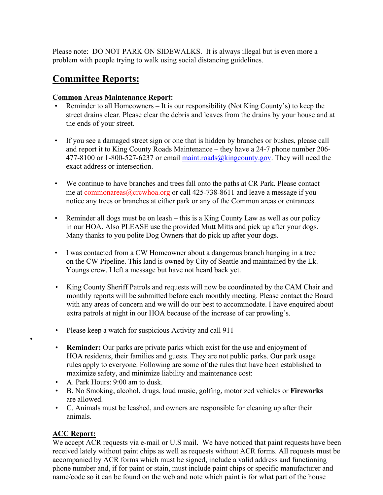Please note: DO NOT PARK ON SIDEWALKS. It is always illegal but is even more a problem with people trying to walk using social distancing guidelines.

# **Committee Reports:**

### **Common Areas Maintenance Report:**

- Reminder to all Homeowners It is our responsibility (Not King County's) to keep the street drains clear. Please clear the debris and leaves from the drains by your house and at the ends of your street.
- If you see a damaged street sign or one that is hidden by branches or bushes, please call and report it to King County Roads Maintenance – they have a 24-7 phone number 206- 477-8100 or 1-800-527-6237 or email maint.roads@kingcounty.gov. They will need the exact address or intersection.
- We continue to have branches and trees fall onto the paths at CR Park. Please contact me at commonareas@crcwhoa.org or call 425-738-8611 and leave a message if you notice any trees or branches at either park or any of the Common areas or entrances.
- Reminder all dogs must be on leash this is a King County Law as well as our policy in our HOA. Also PLEASE use the provided Mutt Mitts and pick up after your dogs. Many thanks to you polite Dog Owners that do pick up after your dogs.
- I was contacted from a CW Homeowner about a dangerous branch hanging in a tree on the CW Pipeline. This land is owned by City of Seattle and maintained by the Lk. Youngs crew. I left a message but have not heard back yet.
- King County Sheriff Patrols and requests will now be coordinated by the CAM Chair and monthly reports will be submitted before each monthly meeting. Please contact the Board with any areas of concern and we will do our best to accommodate. I have enquired about extra patrols at night in our HOA because of the increase of car prowling's.
- Please keep a watch for suspicious Activity and call 911
- **Reminder:** Our parks are private parks which exist for the use and enjoyment of HOA residents, their families and guests. They are not public parks. Our park usage rules apply to everyone. Following are some of the rules that have been established to maximize safety, and minimize liability and maintenance cost:
- A. Park Hours: 9:00 am to dusk.
- B. No Smoking, alcohol, drugs, loud music, golfing, motorized vehicles or **Fireworks**  are allowed.
- C. Animals must be leashed, and owners are responsible for cleaning up after their animals.

## **ACC Report:**

•

We accept ACR requests via e-mail or U.S mail. We have noticed that paint requests have been received lately without paint chips as well as requests without ACR forms. All requests must be accompanied by ACR forms which must be signed, include a valid address and functioning phone number and, if for paint or stain, must include paint chips or specific manufacturer and name/code so it can be found on the web and note which paint is for what part of the house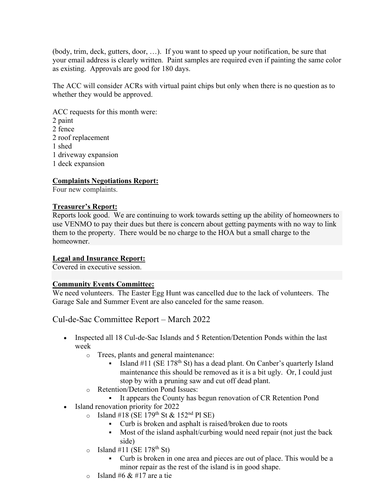(body, trim, deck, gutters, door, …). If you want to speed up your notification, be sure that your email address is clearly written. Paint samples are required even if painting the same color as existing. Approvals are good for 180 days.

The ACC will consider ACRs with virtual paint chips but only when there is no question as to whether they would be approved.

ACC requests for this month were: 2 paint 2 fence 2 roof replacement 1 shed 1 driveway expansion 1 deck expansion

#### **Complaints Negotiations Report:**

Four new complaints.

#### **Treasurer's Report:**

Reports look good. We are continuing to work towards setting up the ability of homeowners to use VENMO to pay their dues but there is concern about getting payments with no way to link them to the property. There would be no charge to the HOA but a small charge to the homeowner.

#### **Legal and Insurance Report:**

Covered in executive session.

#### **Community Events Committee:**

We need volunteers. The Easter Egg Hunt was cancelled due to the lack of volunteers. The Garage Sale and Summer Event are also canceled for the same reason.

Cul-de-Sac Committee Report – March 2022

- Inspected all 18 Cul-de-Sac Islands and 5 Retention/Detention Ponds within the last week
	- o Trees, plants and general maintenance:
		- Island  $#11$  (SE 178<sup>th</sup> St) has a dead plant. On Canber's quarterly Island maintenance this should be removed as it is a bit ugly. Or, I could just stop by with a pruning saw and cut off dead plant.
	- o Retention/Detention Pond Issues:
		- It appears the County has begun renovation of CR Retention Pond
- Island renovation priority for 2022
	- o Island #18 (SE 179<sup>th</sup> St & 152<sup>nd</sup> Pl SE)
		- Curb is broken and asphalt is raised/broken due to roots
		- Most of the island asphalt/curbing would need repair (not just the back side)
	- $\circ$  Island #11 (SE 178<sup>th</sup> St)
		- Curb is broken in one area and pieces are out of place. This would be a minor repair as the rest of the island is in good shape.
	- $\circ$  Island #6 & #17 are a tie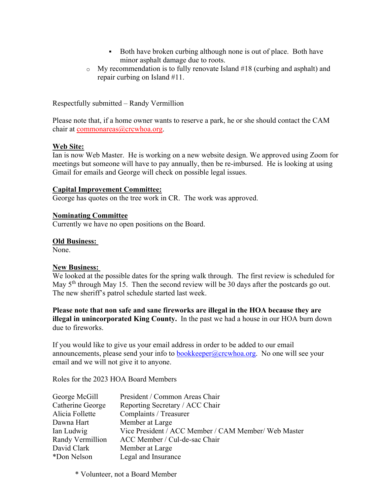- Both have broken curbing although none is out of place. Both have minor asphalt damage due to roots.
- o My recommendation is to fully renovate Island #18 (curbing and asphalt) and repair curbing on Island #11.

Respectfully submitted – Randy Vermillion

Please note that, if a home owner wants to reserve a park, he or she should contact the CAM chair at commonareas@crcwhoa.org.

#### **Web Site:**

Ian is now Web Master. He is working on a new website design. We approved using Zoom for meetings but someone will have to pay annually, then be re-imbursed. He is looking at using Gmail for emails and George will check on possible legal issues.

#### **Capital Improvement Committee:**

George has quotes on the tree work in CR. The work was approved.

### **Nominating Committee**

Currently we have no open positions on the Board.

### **Old Business:**

None.

#### **New Business:**

We looked at the possible dates for the spring walk through. The first review is scheduled for May 5<sup>th</sup> through May 15. Then the second review will be 30 days after the postcards go out. The new sheriff's patrol schedule started last week.

**Please note that non safe and sane fireworks are illegal in the HOA because they are illegal in unincorporated King County.** In the past we had a house in our HOA burn down due to fireworks.

If you would like to give us your email address in order to be added to our email announcements, please send your info to bookkeeper@crcwhoa.org. No one will see your email and we will not give it to anyone.

Roles for the 2023 HOA Board Members

| George McGill    | President / Common Areas Chair                       |
|------------------|------------------------------------------------------|
| Catherine George | Reporting Secretary / ACC Chair                      |
| Alicia Follette  | Complaints / Treasurer                               |
| Dawna Hart       | Member at Large                                      |
| Ian Ludwig       | Vice President / ACC Member / CAM Member/ Web Master |
| Randy Vermillion | ACC Member / Cul-de-sac Chair                        |
| David Clark      | Member at Large                                      |
| *Don Nelson      | Legal and Insurance                                  |

\* Volunteer, not a Board Member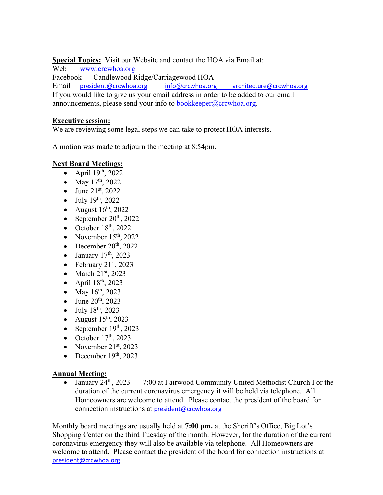**Special Topics:** Visit our Website and contact the HOA via Email at:

Web – www.crcwhoa.org Facebook - Candlewood Ridge/Carriagewood HOA Email – president@crcwhoa.org info@crcwhoa.org architecture@crcwhoa.org If you would like to give us your email address in order to be added to our email announcements, please send your info to bookkeeper $@c$ crcwhoa.org.

### **Executive session:**

We are reviewing some legal steps we can take to protect HOA interests.

A motion was made to adjourn the meeting at 8:54pm.

## **Next Board Meetings:**

- April  $19<sup>th</sup>$ , 2022
- May  $17^{th}$ , 2022
- June  $21^{st}$ , 2022
- $\bullet$  July 19<sup>th</sup>, 2022
- August  $16^{th}$ , 2022
- September  $20<sup>th</sup>$ , 2022
- $\bullet$  October 18<sup>th</sup>, 2022
- November  $15<sup>th</sup>$ , 2022
- December  $20<sup>th</sup>$ , 2022
- $\bullet$  January 17<sup>th</sup>, 2023
- February  $21<sup>st</sup>$ , 2023
- $\bullet$  March 21st, 2023
- April  $18^{th}$ , 2023
- May  $16^{th}$ , 2023
- $\bullet$  June 20<sup>th</sup>, 2023
- $-$  July 18<sup>th</sup>, 2023
- August  $15<sup>th</sup>$ , 2023
- September  $19<sup>th</sup>$ , 2023
- October  $17<sup>th</sup>$ , 2023
- November  $21^{st}$ , 2023
- December  $19<sup>th</sup>$ , 2023

## **Annual Meeting:**

• January  $24^{th}$ ,  $2023$  7:00 at Fairwood Community United Methodist Church For the duration of the current coronavirus emergency it will be held via telephone. All Homeowners are welcome to attend. Please contact the president of the board for connection instructions at president@crcwhoa.org

Monthly board meetings are usually held at **7:00 pm.** at the Sheriff's Office, Big Lot's Shopping Center on the third Tuesday of the month. However, for the duration of the current coronavirus emergency they will also be available via telephone. All Homeowners are welcome to attend. Please contact the president of the board for connection instructions at president@crcwhoa.org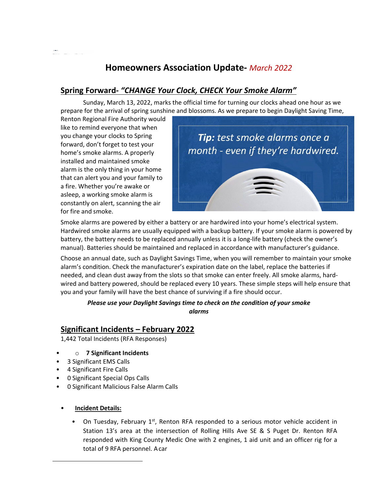# **Homeowners Association Update‐** *March 2022*

# **Spring Forward***‐ "CHANGE Your Clock, CHECK Your Smoke Alarm"*

Sunday, March 13, 2022, marks the official time for turning our clocks ahead one hour as we prepare for the arrival of spring sunshine and blossoms. As we prepare to begin Daylight Saving Time,

Renton Regional Fire Authority would like to remind everyone that when you change your clocks to Spring forward, don't forget to test your home's smoke alarms. A properly installed and maintained smoke alarm is the only thing in your home that can alert you and your family to a fire. Whether you're awake or asleep, a working smoke alarm is constantly on alert, scanning the air for fire and smoke.



Smoke alarms are powered by either a battery or are hardwired into your home's electrical system. Hardwired smoke alarms are usually equipped with a backup battery. If your smoke alarm is powered by battery, the battery needs to be replaced annually unless it is a long-life battery (check the owner's manual). Batteries should be maintained and replaced in accordance with manufacturer's guidance.

Choose an annual date, such as Daylight Savings Time, when you will remember to maintain your smoke alarm's condition. Check the manufacturer's expiration date on the label, replace the batteries if needed, and clean dust away from the slots so that smoke can enter freely. All smoke alarms, hard‐ wired and battery powered, should be replaced every 10 years. These simple steps will help ensure that you and your family will have the best chance of surviving if a fire should occur.

### *Please use your Daylight Savings time to check on the condition of your smoke alarms*

# **Significant Incidents – February 2022**

1,442 Total Incidents (RFA Responses)

- o **7 Significant Incidents**
- 3 Significant EMS Calls
- 4 Significant Fire Calls
- 0 Significant Special Ops Calls
- 0 Significant Malicious False Alarm Calls
- **Incident Details:**
	- On Tuesday, February  $1<sup>st</sup>$ , Renton RFA responded to a serious motor vehicle accident in Station 13's area at the intersection of Rolling Hills Ave SE & S Puget Dr. Renton RFA responded with King County Medic One with 2 engines, 1 aid unit and an officer rig for a total of 9 RFA personnel. Acar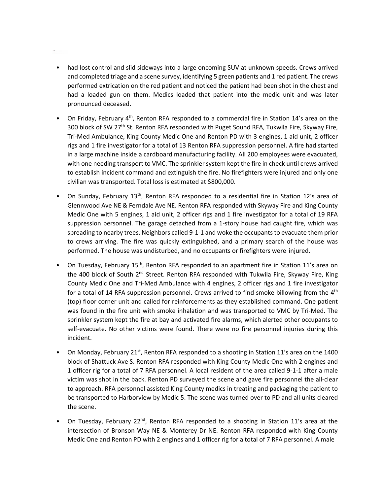#### De la

- had lost control and slid sideways into a large oncoming SUV at unknown speeds. Crews arrived and completed triage and a scene survey, identifying 5 green patients and 1 red patient. The crews performed extrication on the red patient and noticed the patient had been shot in the chest and had a loaded gun on them. Medics loaded that patient into the medic unit and was later pronounced deceased.
- On Friday, February 4<sup>th</sup>, Renton RFA responded to a commercial fire in Station 14's area on the 300 block of SW 27<sup>th</sup> St. Renton RFA responded with Puget Sound RFA, Tukwila Fire, Skyway Fire, Tri‐Med Ambulance, King County Medic One and Renton PD with 3 engines, 1 aid unit, 2 officer rigs and 1 fire investigator for a total of 13 Renton RFA suppression personnel. A fire had started in a large machine inside a cardboard manufacturing facility. All 200 employees were evacuated, with one needing transport to VMC. The sprinkler system kept the fire in check until crews arrived to establish incident command and extinguish the fire. No firefighters were injured and only one civilian was transported. Total loss is estimated at \$800,000.
- On Sunday, February 13<sup>th</sup>, Renton RFA responded to a residential fire in Station 12's area of Glennwood Ave NE & Ferndale Ave NE. Renton RFA responded with Skyway Fire and King County Medic One with 5 engines, 1 aid unit, 2 officer rigs and 1 fire investigator for a total of 19 RFA suppression personnel. The garage detached from a 1-story house had caught fire, which was spreading to nearby trees. Neighbors called 9‐1‐1 and woke the occupants to evacuate them prior to crews arriving. The fire was quickly extinguished, and a primary search of the house was performed. The house was undisturbed, and no occupants or firefighters were injured.
- On Tuesday, February 15<sup>th</sup>, Renton RFA responded to an apartment fire in Station 11's area on the 400 block of South 2<sup>nd</sup> Street. Renton RFA responded with Tukwila Fire, Skyway Fire, King County Medic One and Tri‐Med Ambulance with 4 engines, 2 officer rigs and 1 fire investigator for a total of 14 RFA suppression personnel. Crews arrived to find smoke billowing from the  $4<sup>th</sup>$ (top) floor corner unit and called for reinforcements as they established command. One patient was found in the fire unit with smoke inhalation and was transported to VMC by Tri‐Med. The sprinkler system kept the fire at bay and activated fire alarms, which alerted other occupants to self-evacuate. No other victims were found. There were no fire personnel injuries during this incident.
- On Monday, February 21<sup>st</sup>, Renton RFA responded to a shooting in Station 11's area on the 1400 block of Shattuck Ave S. Renton RFA responded with King County Medic One with 2 engines and 1 officer rig for a total of 7 RFA personnel. A local resident of the area called 9‐1‐1 after a male victim was shot in the back. Renton PD surveyed the scene and gave fire personnel the all‐clear to approach. RFA personnel assisted King County medics in treating and packaging the patient to be transported to Harborview by Medic 5. The scene was turned over to PD and all units cleared the scene.
- On Tuesday, February 22<sup>nd</sup>, Renton RFA responded to a shooting in Station 11's area at the intersection of Bronson Way NE & Monterey Dr NE. Renton RFA responded with King County Medic One and Renton PD with 2 engines and 1 officer rig for a total of 7 RFA personnel. A male